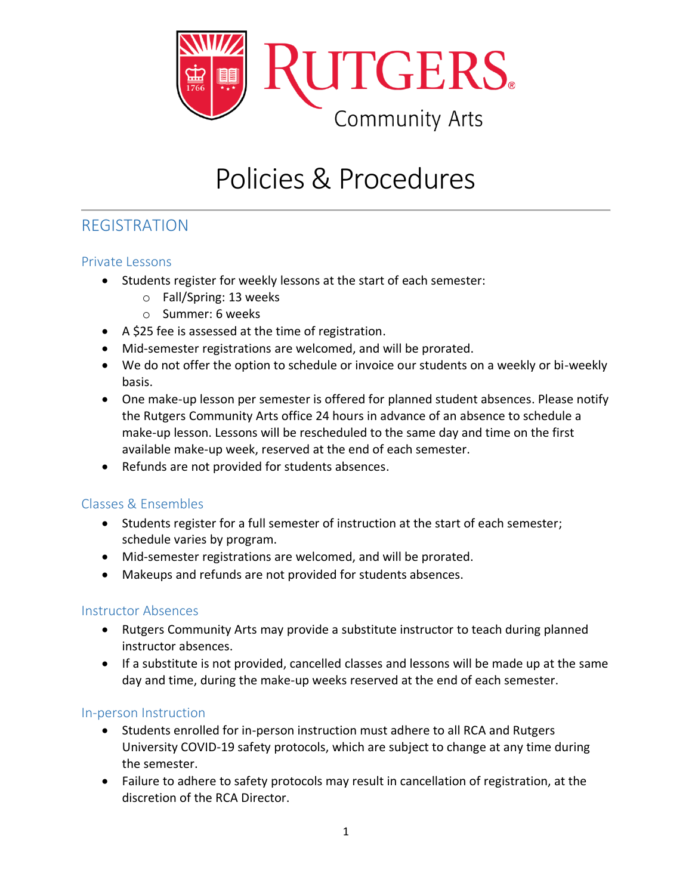

# Policies & Procedures

## REGISTRATION

#### Private Lessons

- Students register for weekly lessons at the start of each semester:
	- o Fall/Spring: 13 weeks
	- o Summer: 6 weeks
- A \$25 fee is assessed at the time of registration.
- Mid-semester registrations are welcomed, and will be prorated.
- We do not offer the option to schedule or invoice our students on a weekly or bi-weekly basis.
- One make-up lesson per semester is offered for planned student absences. Please notify the Rutgers Community Arts office 24 hours in advance of an absence to schedule a make-up lesson. Lessons will be rescheduled to the same day and time on the first available make-up week, reserved at the end of each semester.
- Refunds are not provided for students absences.

#### Classes & Ensembles

- Students register for a full semester of instruction at the start of each semester; schedule varies by program.
- Mid-semester registrations are welcomed, and will be prorated.
- Makeups and refunds are not provided for students absences.

#### Instructor Absences

- Rutgers Community Arts may provide a substitute instructor to teach during planned instructor absences.
- If a substitute is not provided, cancelled classes and lessons will be made up at the same day and time, during the make-up weeks reserved at the end of each semester.

#### In-person Instruction

- Students enrolled for in-person instruction must adhere to all RCA and Rutgers University COVID-19 safety protocols, which are subject to change at any time during the semester.
- Failure to adhere to safety protocols may result in cancellation of registration, at the discretion of the RCA Director.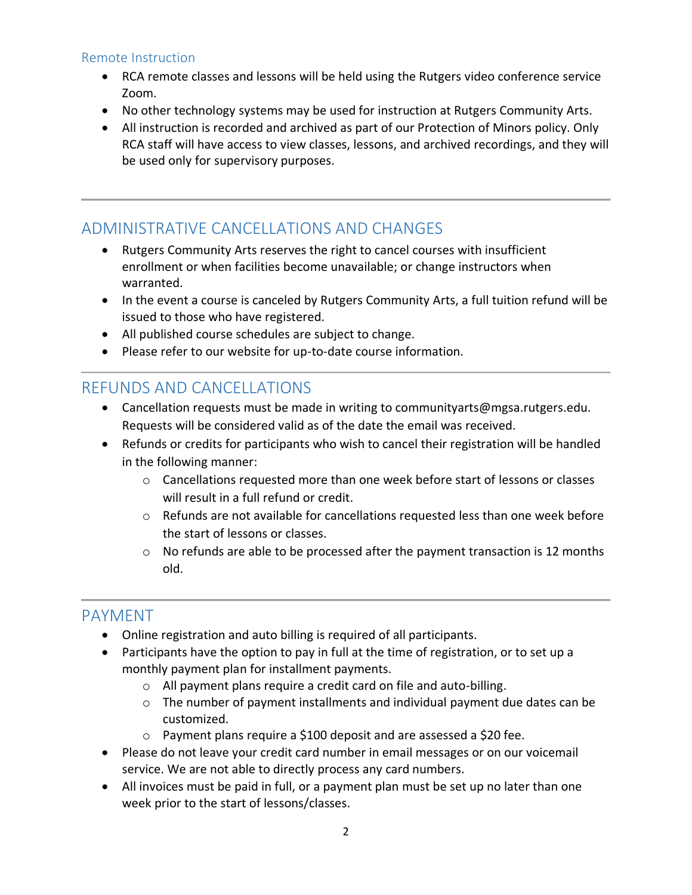#### Remote Instruction

- RCA remote classes and lessons will be held using the Rutgers video conference service Zoom.
- No other technology systems may be used for instruction at Rutgers Community Arts.
- All instruction is recorded and archived as part of our Protection of Minors policy. Only RCA staff will have access to view classes, lessons, and archived recordings, and they will be used only for supervisory purposes.

## ADMINISTRATIVE CANCELLATIONS AND CHANGES

- Rutgers Community Arts reserves the right to cancel courses with insufficient enrollment or when facilities become unavailable; or change instructors when warranted.
- In the event a course is canceled by Rutgers Community Arts, a full tuition refund will be issued to those who have registered.
- All published course schedules are subject to change.
- Please refer to our website for up-to-date course information.

## REFUNDS AND CANCELLATIONS

- Cancellation requests must be made in writing to communityarts@mgsa.rutgers.edu. Requests will be considered valid as of the date the email was received.
- Refunds or credits for participants who wish to cancel their registration will be handled in the following manner:
	- o Cancellations requested more than one week before start of lessons or classes will result in a full refund or credit.
	- $\circ$  Refunds are not available for cancellations requested less than one week before the start of lessons or classes.
	- $\circ$  No refunds are able to be processed after the payment transaction is 12 months old.

## PAYMENT

- Online registration and auto billing is required of all participants.
- Participants have the option to pay in full at the time of registration, or to set up a monthly payment plan for installment payments.
	- o All payment plans require a credit card on file and auto-billing.
	- o The number of payment installments and individual payment due dates can be customized.
	- o Payment plans require a \$100 deposit and are assessed a \$20 fee.
- Please do not leave your credit card number in email messages or on our voicemail service. We are not able to directly process any card numbers.
- All invoices must be paid in full, or a payment plan must be set up no later than one week prior to the start of lessons/classes.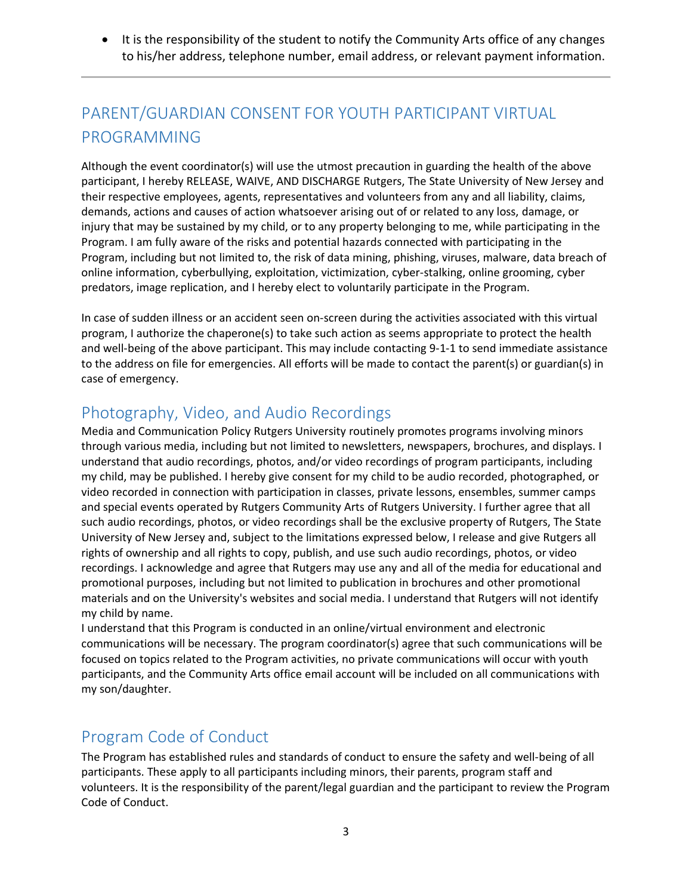• It is the responsibility of the student to notify the Community Arts office of any changes to his/her address, telephone number, email address, or relevant payment information.

## PARENT/GUARDIAN CONSENT FOR YOUTH PARTICIPANT VIRTUAL PROGRAMMING

Although the event coordinator(s) will use the utmost precaution in guarding the health of the above participant, I hereby RELEASE, WAIVE, AND DISCHARGE Rutgers, The State University of New Jersey and their respective employees, agents, representatives and volunteers from any and all liability, claims, demands, actions and causes of action whatsoever arising out of or related to any loss, damage, or injury that may be sustained by my child, or to any property belonging to me, while participating in the Program. I am fully aware of the risks and potential hazards connected with participating in the Program, including but not limited to, the risk of data mining, phishing, viruses, malware, data breach of online information, cyberbullying, exploitation, victimization, cyber-stalking, online grooming, cyber predators, image replication, and I hereby elect to voluntarily participate in the Program.

In case of sudden illness or an accident seen on-screen during the activities associated with this virtual program, I authorize the chaperone(s) to take such action as seems appropriate to protect the health and well-being of the above participant. This may include contacting 9-1-1 to send immediate assistance to the address on file for emergencies. All efforts will be made to contact the parent(s) or guardian(s) in case of emergency.

## Photography, Video, and Audio Recordings

Media and Communication Policy Rutgers University routinely promotes programs involving minors through various media, including but not limited to newsletters, newspapers, brochures, and displays. I understand that audio recordings, photos, and/or video recordings of program participants, including my child, may be published. I hereby give consent for my child to be audio recorded, photographed, or video recorded in connection with participation in classes, private lessons, ensembles, summer camps and special events operated by Rutgers Community Arts of Rutgers University. I further agree that all such audio recordings, photos, or video recordings shall be the exclusive property of Rutgers, The State University of New Jersey and, subject to the limitations expressed below, I release and give Rutgers all rights of ownership and all rights to copy, publish, and use such audio recordings, photos, or video recordings. I acknowledge and agree that Rutgers may use any and all of the media for educational and promotional purposes, including but not limited to publication in brochures and other promotional materials and on the University's websites and social media. I understand that Rutgers will not identify my child by name.

I understand that this Program is conducted in an online/virtual environment and electronic communications will be necessary. The program coordinator(s) agree that such communications will be focused on topics related to the Program activities, no private communications will occur with youth participants, and the Community Arts office email account will be included on all communications with my son/daughter.

## Program Code of Conduct

The Program has established rules and standards of conduct to ensure the safety and well-being of all participants. These apply to all participants including minors, their parents, program staff and volunteers. It is the responsibility of the parent/legal guardian and the participant to review the Program Code of Conduct.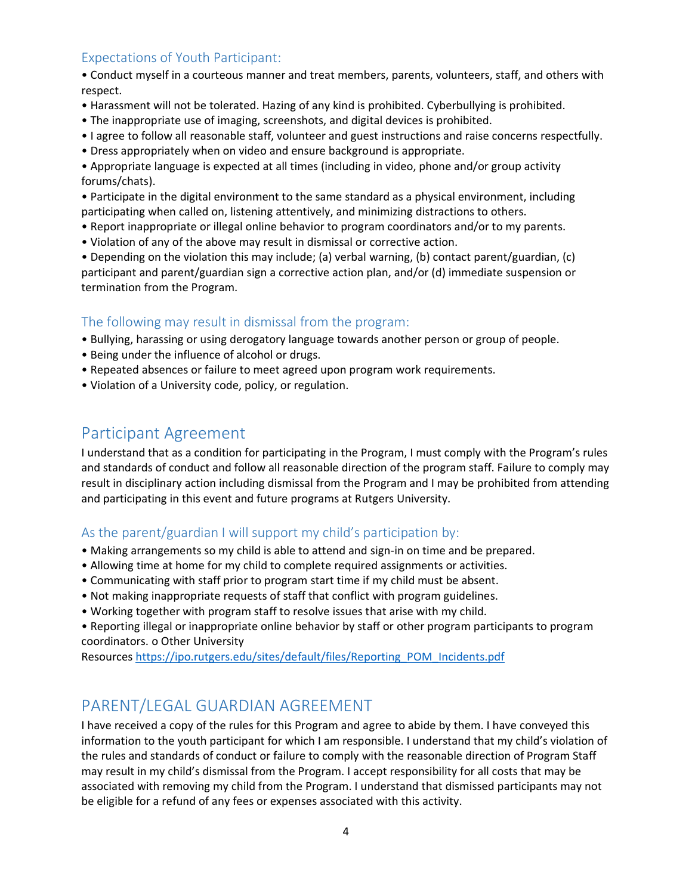#### Expectations of Youth Participant:

• Conduct myself in a courteous manner and treat members, parents, volunteers, staff, and others with respect.

- Harassment will not be tolerated. Hazing of any kind is prohibited. Cyberbullying is prohibited.
- The inappropriate use of imaging, screenshots, and digital devices is prohibited.
- I agree to follow all reasonable staff, volunteer and guest instructions and raise concerns respectfully.
- Dress appropriately when on video and ensure background is appropriate.

• Appropriate language is expected at all times (including in video, phone and/or group activity forums/chats).

• Participate in the digital environment to the same standard as a physical environment, including participating when called on, listening attentively, and minimizing distractions to others.

- Report inappropriate or illegal online behavior to program coordinators and/or to my parents.
- Violation of any of the above may result in dismissal or corrective action.

• Depending on the violation this may include; (a) verbal warning, (b) contact parent/guardian, (c) participant and parent/guardian sign a corrective action plan, and/or (d) immediate suspension or termination from the Program.

#### The following may result in dismissal from the program:

- Bullying, harassing or using derogatory language towards another person or group of people.
- Being under the influence of alcohol or drugs.
- Repeated absences or failure to meet agreed upon program work requirements.
- Violation of a University code, policy, or regulation.

## Participant Agreement

I understand that as a condition for participating in the Program, I must comply with the Program's rules and standards of conduct and follow all reasonable direction of the program staff. Failure to comply may result in disciplinary action including dismissal from the Program and I may be prohibited from attending and participating in this event and future programs at Rutgers University.

#### As the parent/guardian I will support my child's participation by:

- Making arrangements so my child is able to attend and sign-in on time and be prepared.
- Allowing time at home for my child to complete required assignments or activities.
- Communicating with staff prior to program start time if my child must be absent.
- Not making inappropriate requests of staff that conflict with program guidelines.
- Working together with program staff to resolve issues that arise with my child.

• Reporting illegal or inappropriate online behavior by staff or other program participants to program coordinators. o Other University

Resources [https://ipo.rutgers.edu/sites/default/files/Reporting\\_POM\\_Incidents.pdf](https://ipo.rutgers.edu/sites/default/files/Reporting_POM_Incidents.pdf)

## PARENT/LEGAL GUARDIAN AGREEMENT

I have received a copy of the rules for this Program and agree to abide by them. I have conveyed this information to the youth participant for which I am responsible. I understand that my child's violation of the rules and standards of conduct or failure to comply with the reasonable direction of Program Staff may result in my child's dismissal from the Program. I accept responsibility for all costs that may be associated with removing my child from the Program. I understand that dismissed participants may not be eligible for a refund of any fees or expenses associated with this activity.